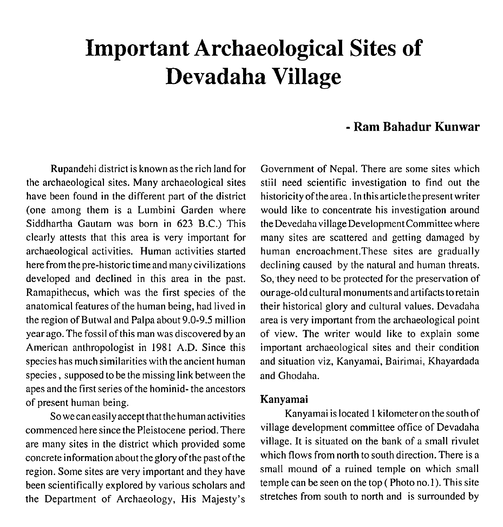# **Important Archaeological Sites of Devadaha Village**

## - **Ram Bahadur Kunwar**

Rupandehi district is known as the rich land for the archaeological sites. Many archaeological sites have been found in the different part of the district (one among them is a Lumbini Garden where Siddhartha Gautam was born in 623 B.C.) This clearly attests that this area is very important for archaeological activities. Human activities started here from the pre-historic time and many civilizations developed and declined in this area in the past. Ramapithecus, which was the first species of the anatomical features of the human being, had lived in the region of Butwal and Palpa about 9.0-9.5 million year ago. The fossil of this man was discovered by an American anthropologist in 1981 A.D. Since this species has much similarities with the ancient human species, supposed to be the missing link between the apes and the first series of the hominid- the ancestors of present human being.

So wecan easily accept that the human activities commenced here since the Pleistocene period. There are many sites in the district which provided some concrete information about the glory of the past of the region. Some sites are very important and they have been scientifically explored by various scholars and the Department of Archaeology, His Majesty's Government of Nepal. There are some sites which stiil need scientific investigation to find out the historicity of the area. In this article the present writer would like to concentrate his investigation around the Devedaha village Development Committee where many sites are scattered and getting damaged by human encroachment.These sites are gradually declining caused by the natural and human threats. So, they need to be protected for the preservation of ourage-old cultural monuments and artifacts toretain their historical glory and cultural values. Devadaha area is very important from the archaeological point of view. The writer would like to explain some important archaeological sites and their condition and situation viz, Kanyamai, Bairimai, Khayardada and Ghodaha.

#### **Kanyamai**

Kanyamai is located 1 kilometer on the south of village development committee office of Devadaha village. It is situated on the bank of a small rivulet which flows from north to south direction. There is a small mound of a ruined temple on which small temple can be seen on the top ( Photo no. **1).** This site stretches from south to north and is surrounded by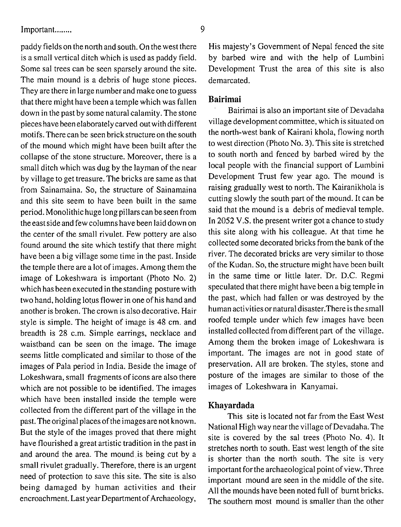paddy fields on the north and south. On the west there is a small vertical ditch which is used as paddy field. Some sal trees can be seen sparsely around the site. The main mound is a debris of huge stone pieces. They are there in large number and make one to guess that there might have been a temple which was fallen down in the past by some natural calamity. The stone pieces have been elaborately carved out with different motifs. There can be seen brick structure on the south of the mound which might have been built after the collapse of the stone structure. Moreover, there is a small ditch which was dug by the layman of the near by village to get treasure. The bricks are same as that from Sainamaina. So, the structure of Sainamaina and this site seem to have been built in the same period. Monolithic huge long pillars can beseen from the east side and few columns have been laid down on the center of the small rivulet. Few pottery are also found around the site which testify that there might have been a big village some time in the past. Inside the temple there are a lot of images. Among them the image of Lokeshwara is important (Photo No. 2) which has been executed in thestanding posture with two hand, holding lotus flower in one of his hand and another is broken. The crown is also decorative. Hair style is simple. The height of image is 48 cm. and breadth is 28 c.m. Simple earrings, necklace and waistband can be seen on the image. The image seems little complicated and similar to those of the images of Pala period in India. Beside the image of Lokeshwara, small fragments of icons are also there which are not possible to be identified. The images which have been installed inside the temple were collected from the different part of the village in the past. The original places of the images are not known. But the style of the images proved that there might have flourished a great artistic tradition in the past in and around the area. The mound is being cut by a small rivulet gradually. Therefore, there is an urgent need of protection to save this site. The site is also being damaged by human activities and their encroachment. Last year Department of Archaeology,

His majesty's Government of Nepal fenced the site by barbed wire and with the help of Lumbini Development Trust the area of this site is also demarcated.

#### **Bairimai**

Bairimai is also an important site of Devadaha village development committee, which is situated on the north-west bank of Kairani khola, flowing north to west direction (Photo No. **3).** This site is stretched to south north and fenced by barbed wired by the local people with the financial support of Lumbini Development Trust few year ago. The mound is raising gradually west to north. The Kairanikhola is cutting slowly the south part of the mound. It can be said that the mound is a debris of medieval temple. In 2052 V.S. the present writer got a chance to study this site along with his colleague. At that time he collected some decorated bricks from the bank of the river. The decorated bricks are very similar to those of the Kudan. So, the structure might have been built in the same time or little later. Dr. **D.C.** Regmi speculated that there might have been a big temple in the past, which had fallen or was destroyed by the human activities or natural disaster.There is the small roofed temple under which few images have been installed collected from different part of the village. Among them the broken image of Lokeshwara is important. The images are not in good state of preservation. All are broken. The styles, stone and posture of the images are similar to those of the images of Lokeshwara in Kanyamai.

#### **Khayardada**

This site is located not far from the East West National High way near the village of Devadaha. The site is covered by the sal trees (Photo No. 4). It stretches north to south. East west length of the site is shorter than the north south. The site is very important for the archaeological point of view. Three important mound are seen in the middle of the site. All the mounds have been noted full of burnt bricks. The southern most mound is smaller than the other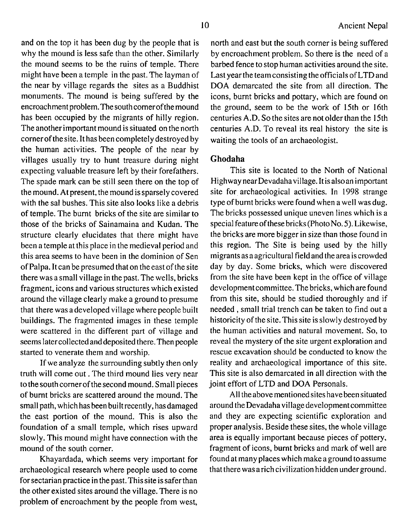and on the top it has been dug by the people that is why the mound is less safe than the other. Similarly the mound seems to be the ruins of temple. There might have been a temple in the past. The layman of the near by village regards the sites as a Buddhist monuments. The mound is being suffered by the encroachment problem.The south comer of the mound has been occupied by the migrants of hilly region. The another important mound is situated on the north cornerof thesite. It has been completely destroyed by the human activities. The people of the near by villages usually try to hunt treasure during night expecting valuable treasure left by their forefathers. The spade mark can be still seen there on the top of the mound. At present, the mound is sparsely covered with the sal bushes. This site also looks like a debris of temple. The burnt bricks of the site are similar to those of the bricks of Sainamaina and Kudan. The structure clearly elucidates that there might have been a temple at this place in the medieval period and this area seems to have been in the dominion of Sen of Palpa. It can be presumed that on the east of the site there was a small village in the past. The wells, bricks fragment, icons and various structures which existed around the village clearly make a ground to presume that there was a developed village where people built buildings. The fragmented images in these temple were scattered in the different part of village and seems later collected anddeposited there. Then people started to venerate them and worship.

If we analyze the surrounding subtly then only truth will come out. The third mound lies very near to the south corner of thesecond mound. Small pieces of burnt bricks are scattered around the mound. The small path, which has been built recently, hasdamaged the east portion of the mound. This is also the foundation of a small temple, which rises upward slowly. This mound might have connection with the mound of the south comer.

Khayardada, which seems very important for archaeological research where people used to come for sectarian practice in the past. This site is saferthan the other existed sites around the village. There is no problem of encroachment by the people from west, north and east but the south corner is being suffered by encroachment problem. So there is the need of a barbed fence to stop human activities around the site. Last year the team consisting the officials of LTD and DOA demarcated the site from all direction. The icons, burnt bricks and pottary, which are found on the ground, seem to be the work of 15th or 16th centuries A.D. So the sites are not older than the 15th centuries A.D. To reveal its real history the site is waiting the tools of an archaeologist.

### **Ghodaha**

This site is located to the North of National Highway nearDevadahavillage. It isalsoan important site for archaeological activities. In 1998 strange type of burnt bricks were found when a well was dug. The bricks possessed unique uneven lines which is a special feature of these bricks (PhotoNo.5). Likewise, the bricks are more bigger in size than those found in this region. The Site is being used by the hilly migrants as a agricultural field and the area is crowded day by day. Some bricks, which were discovered from the site have been kept in the office of village developmentcommittee. The bricks, which are found from this site, should be studied thoroughly and if needed, small trial trench can be taken to find out a historicity of the site. This site is slowly destroyed by the human activities and natural movement. So, to reveal the mystery of the site urgent exploration and rescue excavation should be conducted to know the reality and archaeological importance of this site. This site is also demarcated in all direction with the joint effort of LTD and DOA Personals.

All theabove mentionedsites have been situated around the Devadaha village development committee and they are expecting scientific exploration and proper analysis. Beside these sites, the whole village area is equally important because pieces of pottery, fragment of icons, burnt bricks and mark of well are found at many places which make a ground to assume that there was arich civilization hidden underground.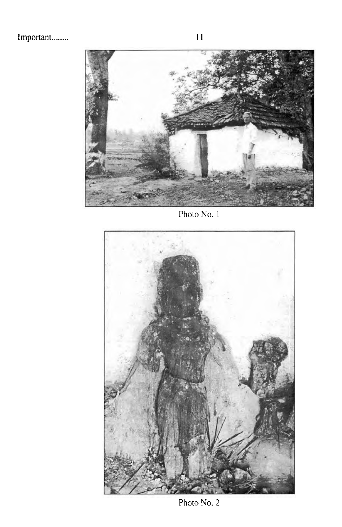

Photo No. 1



Photo No. 2